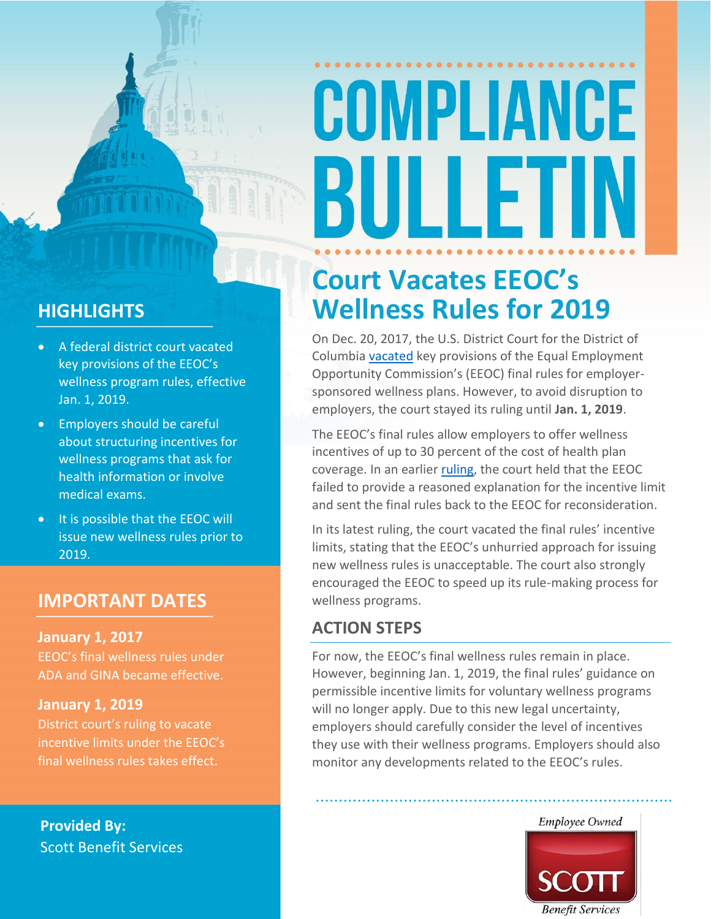# COMPLIANCE BULLET

### **HIGHLIGHTS**

- A federal district court vacated key provisions of the EEOC's wellness program rules, effective Jan. 1, 2019.
- Employers should be careful about structuring incentives for wellness programs that ask for health information or involve medical exams.
- It is possible that the EEOC will issue new wellness rules prior to 2019.

### **IMPORTANT DATES**

### **January 1, 2017**

EEOC's final wellness rules under ADA and GINA became effective.

### **January 1, 2019**

District court's ruling to vacate incentive limits under the EEOC's final wellness rules takes effect.

**Provided By:** Scott Benefit Services

### **Court Vacates EEOC's Wellness Rules for 2019**

On Dec. 20, 2017, the U.S. District Court for the District of Columbi[a vacated](https://ecf.dcd.uscourts.gov/cgi-bin/show_public_doc?2016cv2113-55) key provisions of the Equal Employment Opportunity Commission's (EEOC) final rules for employersponsored wellness plans. However, to avoid disruption to employers, the court stayed its ruling until **Jan. 1, 2019**.

The EEOC's final rules allow employers to offer wellness incentives of up to 30 percent of the cost of health plan coverage. In an earlier [ruling,](https://ecf.dcd.uscourts.gov/cgi-bin/show_public_doc?2016cv2113-47) the court held that the EEOC failed to provide a reasoned explanation for the incentive limit and sent the final rules back to the EEOC for reconsideration.

In its latest ruling, the court vacated the final rules' incentive limits, stating that the EEOC's unhurried approach for issuing new wellness rules is unacceptable. The court also strongly encouraged the EEOC to speed up its rule-making process for wellness programs.

### **ACTION STEPS**

For now, the EEOC's final wellness rules remain in place. However, beginning Jan. 1, 2019, the final rules' guidance on permissible incentive limits for voluntary wellness programs will no longer apply. Due to this new legal uncertainty, employers should carefully consider the level of incentives they use with their wellness programs. Employers should also monitor any developments related to the EEOC's rules.

> **Employee Owned Benefit Services**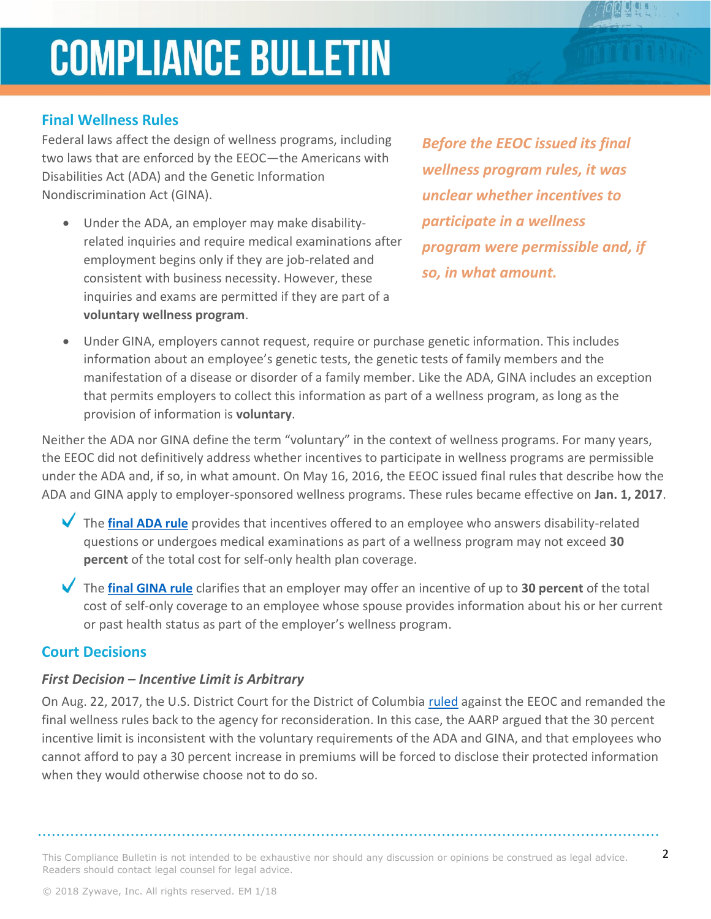### **COMPLIANCE BULLETIN**

### **Final Wellness Rules**

Federal laws affect the design of wellness programs, including two laws that are enforced by the EEOC—the Americans with Disabilities Act (ADA) and the Genetic Information Nondiscrimination Act (GINA).

• Under the ADA, an employer may make disabilityrelated inquiries and require medical examinations after employment begins only if they are job-related and consistent with business necessity. However, these inquiries and exams are permitted if they are part of a **voluntary wellness program**.

*Before the EEOC issued its final wellness program rules, it was unclear whether incentives to participate in a wellness program were permissible and, if so, in what amount.* 

• Under GINA, employers cannot request, require or purchase genetic information. This includes information about an employee's genetic tests, the genetic tests of family members and the manifestation of a disease or disorder of a family member. Like the ADA, GINA includes an exception that permits employers to collect this information as part of a wellness program, as long as the provision of information is **voluntary**.

Neither the ADA nor GINA define the term "voluntary" in the context of wellness programs. For many years, the EEOC did not definitively address whether incentives to participate in wellness programs are permissible under the ADA and, if so, in what amount. On May 16, 2016, the EEOC issued final rules that describe how the ADA and GINA apply to employer-sponsored wellness programs. These rules became effective on **Jan. 1, 2017**.

- The **[final ADA rule](https://www.federalregister.gov/articles/2016/05/17/2016-11558/regulations-under-the-americans-with-disabilities-act)** provides that incentives offered to an employee who answers disability-related questions or undergoes medical examinations as part of a wellness program may not exceed **30 percent** of the total cost for self-only health plan coverage.
- The **[final GINA rule](https://www.federalregister.gov/articles/2016/05/17/2016-11557/genetic-information-nondiscrimination-act)** clarifies that an employer may offer an incentive of up to **30 percent** of the total cost of self-only coverage to an employee whose spouse provides information about his or her current or past health status as part of the employer's wellness program.

#### **Court Decisions**

#### *First Decision – Incentive Limit is Arbitrary*

On Aug. 22, 2017, the U.S. District Court for the District of Columbia [ruled](https://ecf.dcd.uscourts.gov/cgi-bin/show_public_doc?2016cv2113-47) against the EEOC and remanded the final wellness rules back to the agency for reconsideration. In this case, the AARP argued that the 30 percent incentive limit is inconsistent with the voluntary requirements of the ADA and GINA, and that employees who cannot afford to pay a 30 percent increase in premiums will be forced to disclose their protected information when they would otherwise choose not to do so.

This Compliance Bulletin is not intended to be exhaustive nor should any discussion or opinions be construed as legal advice.  $2$ Readers should contact legal counsel for legal advice.